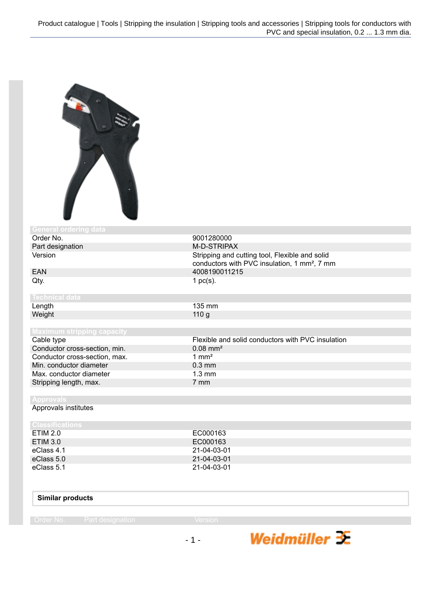

| <b>General ordering data</b>      |                                                                                                            |
|-----------------------------------|------------------------------------------------------------------------------------------------------------|
| Order No.                         | 9001280000                                                                                                 |
| Part designation                  | M-D-STRIPAX                                                                                                |
| Version                           | Stripping and cutting tool, Flexible and solid<br>conductors with PVC insulation, 1 mm <sup>2</sup> , 7 mm |
| <b>EAN</b>                        | 4008190011215                                                                                              |
| Qty.                              | 1 $pc(s)$ .                                                                                                |
| <b>Technical data</b>             |                                                                                                            |
| Length                            | 135 mm                                                                                                     |
| Weight                            | 110 g                                                                                                      |
|                                   |                                                                                                            |
| <b>Maximum stripping capacity</b> |                                                                                                            |
| Cable type                        | Flexible and solid conductors with PVC insulation                                                          |
| Conductor cross-section, min.     | $0.08$ mm <sup>2</sup>                                                                                     |
| Conductor cross-section, max.     | $1 \text{ mm}^2$                                                                                           |
| Min. conductor diameter           | $0.3$ mm                                                                                                   |
| Max. conductor diameter           | $1.3 \text{ mm}$                                                                                           |
| Stripping length, max.            | 7 mm                                                                                                       |
|                                   |                                                                                                            |
| <b>Approvals</b>                  |                                                                                                            |
| Approvals institutes              |                                                                                                            |
| <b>Classifications</b>            |                                                                                                            |
| <b>ETIM 2.0</b>                   | EC000163                                                                                                   |
| <b>ETIM 3.0</b>                   | EC000163                                                                                                   |
| eClass 4.1                        | 21-04-03-01                                                                                                |
| eClass 5.0                        | 21-04-03-01                                                                                                |
| eClass 5.1                        | 21-04-03-01                                                                                                |

## **Similar products**